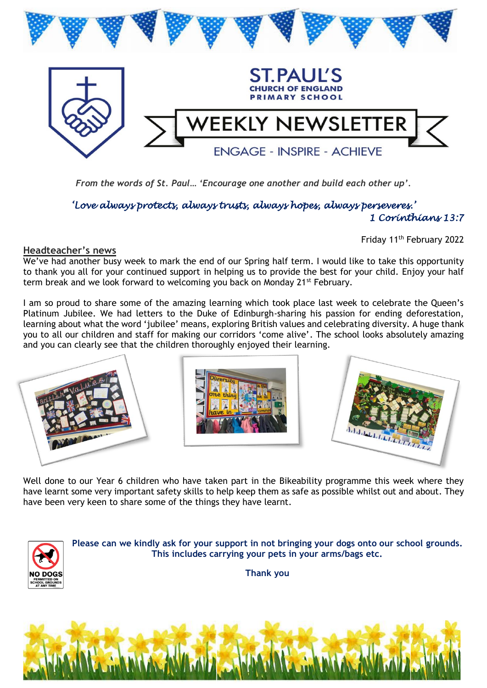

*From the words of St. Paul… 'Encourage one another and build each other up'.* 

### *'Love always protects, always trusts, always hopes, always perseveres.' 1 Corinthians 13:7*

Friday 11th February 2022

#### **Headteacher's news**

We've had another busy week to mark the end of our Spring half term. I would like to take this opportunity to thank you all for your continued support in helping us to provide the best for your child. Enjoy your half term break and we look forward to welcoming you back on Monday 21<sup>st</sup> February.

I am so proud to share some of the amazing learning which took place last week to celebrate the Queen's Platinum Jubilee. We had letters to the Duke of Edinburgh-sharing his passion for ending deforestation, learning about what the word 'jubilee' means, exploring British values and celebrating diversity. A huge thank you to all our children and staff for making our corridors 'come alive'. The school looks absolutely amazing and you can clearly see that the children thoroughly enjoyed their learning.



Well done to our Year 6 children who have taken part in the Bikeability programme this week where they have learnt some very important safety skills to help keep them as safe as possible whilst out and about. They have been very keen to share some of the things they have learnt.



**Please can we kindly ask for your support in not bringing your dogs onto our school grounds. This includes carrying your pets in your arms/bags etc.**

**Thank you**

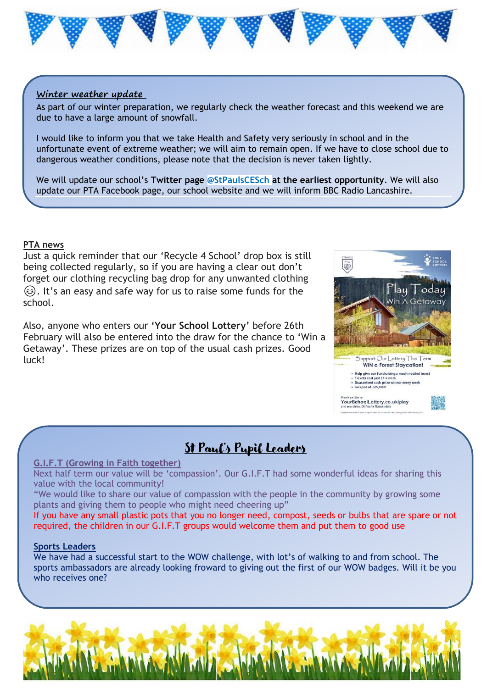

#### **Winter weather update**

As part of our winter preparation, we regularly check the weather forecast and this weekend we are due to have a large amount of snowfall.

I would like to inform you that we take Health and Safety very seriously in school and in the unfortunate event of extreme weather; we will aim to remain open. If we have to close school due to dangerous weather conditions, please note that the decision is never taken lightly.

We will update our school's **Twitter page @StPaulsCESch at the earliest opportunity**. We will also update our PTA Facebook page, our school website and we will inform BBC Radio Lancashire.

#### **PTA news**

Just a quick reminder that our 'Recycle 4 School' drop box is still being collected regularly, so if you are having a clear out don't forget our clothing recycling bag drop for any unwanted clothing . It's an easy and safe way for us to raise some funds for the school.

Also, anyone who enters our **'Your School Lottery'** before 26th February will also be entered into the draw for the chance to 'Win a Getaway'. These prizes are on top of the usual cash prizes. Good luck!



## St Paul's Pupil Leaders

#### **G.I.F.T (Growing in Faith together)**

Next half term our value will be 'compassion'. Our G.I.F.T had some wonderful ideas for sharing this value with the local community!

"We would like to share our value of compassion with the people in the community by growing some plants and giving them to people who might need cheering up"

If you have any small plastic pots that you no longer need, compost, seeds or bulbs that are spare or not required, the children in our G.I.F.T groups would welcome them and put them to good use

#### **Sports Leaders**

We have had a successful start to the WOW challenge, with lot's of walking to and from school. The sports ambassadors are already looking froward to giving out the first of our WOW badges. Will it be you who receives one?

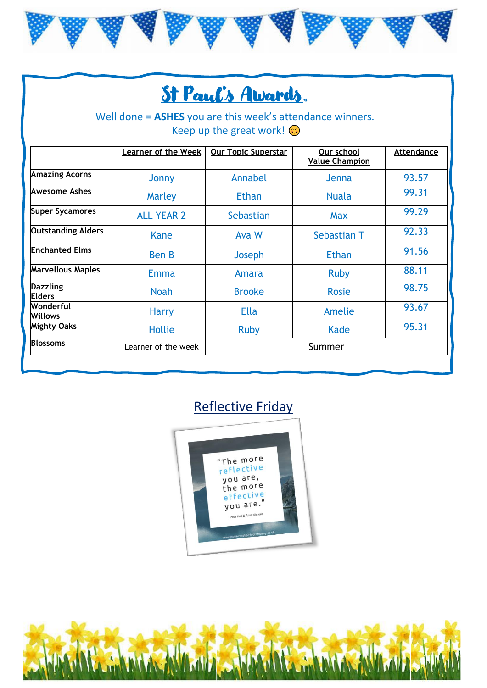

# St Paul's Awards.

## Well done = **ASHES** you are this week's attendance winners. Keep up the great work!  $\odot$

|                                  |                     | <b>Our Topic Superstar</b> | Our school<br><b>Value Champion</b> | Attendance |
|----------------------------------|---------------------|----------------------------|-------------------------------------|------------|
| <b>Amazing Acorns</b>            | Jonny               | Annabel                    | Jenna                               | 93.57      |
| Awesome Ashes                    | Marley              | <b>Ethan</b>               | <b>Nuala</b>                        | 99.31      |
| <b>Super Sycamores</b>           | <b>ALL YEAR 2</b>   | Sebastian                  | <b>Max</b>                          | 99.29      |
| <b>Outstanding Alders</b>        | Kane                | Ava W                      | Sebastian T                         | 92.33      |
| <b>Enchanted Elms</b>            | <b>Ben B</b>        | Joseph                     | <b>Ethan</b>                        | 91.56      |
| <b>Marvellous Maples</b>         | <b>Emma</b>         | Amara                      | <b>Ruby</b>                         | 88.11      |
| <b>Dazzling</b><br><b>Elders</b> | <b>Noah</b>         | <b>Brooke</b>              | <b>Rosie</b>                        | 98.75      |
| Wonderful<br>Willows             | <b>Harry</b>        | <b>Ella</b>                | Amelie                              | 93.67      |
| <b>Mighty Oaks</b>               | <b>Hollie</b>       | <b>Ruby</b>                | Kade                                | 95.31      |
| <b>Blossoms</b>                  | Learner of the week | Summer                     |                                     |            |

## Reflective Friday